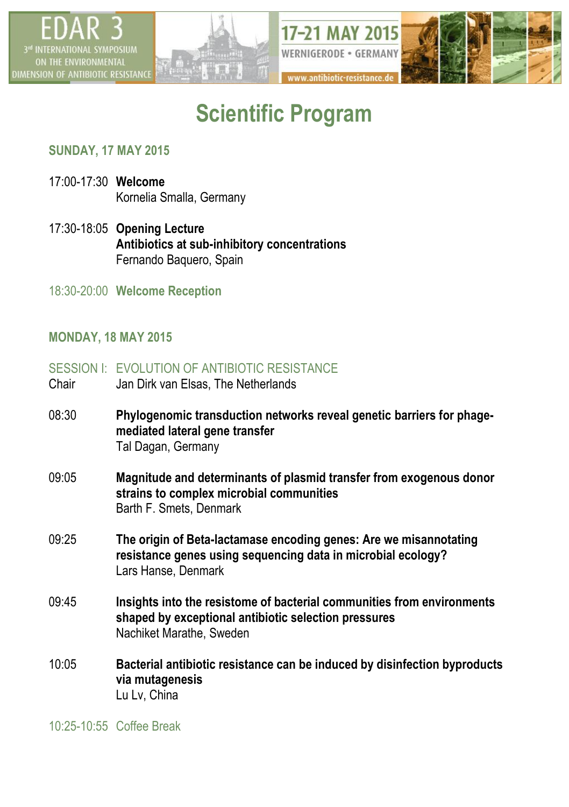

# **Scientific Program**

### **SUNDAY, 17 MAY 2015**

- 17:00-17:30 **Welcome** Kornelia Smalla, Germany
- 17:30-18:05 **Opening Lecture Antibiotics at sub-inhibitory concentrations** Fernando Baquero, Spain
- 18:30-20:00 **Welcome Reception**

### **MONDAY, 18 MAY 2015**

- SESSION I: FVOLUTION OF ANTIBIOTIC RESISTANCE
- Chair Jan Dirk van Elsas, The Netherlands
- 08:30 **Phylogenomic transduction networks reveal genetic barriers for phagemediated lateral gene transfer** Tal Dagan, Germany
- 09:05 **Magnitude and determinants of plasmid transfer from exogenous donor strains to complex microbial communities** Barth F. Smets, Denmark
- 09:25 **The origin of Beta-lactamase encoding genes: Are we misannotating resistance genes using sequencing data in microbial ecology?** Lars Hanse, Denmark
- 09:45 **Insights into the resistome of bacterial communities from environments shaped by exceptional antibiotic selection pressures** Nachiket Marathe, Sweden
- 10:05 **Bacterial antibiotic resistance can be induced by disinfection byproducts via mutagenesis** Lu Lv, China

10:25-10:55 Coffee Break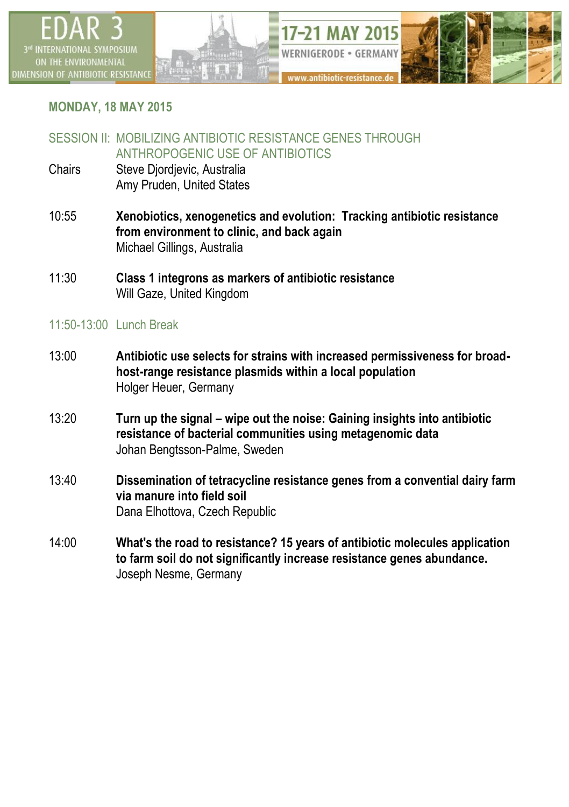

# **MONDAY, 18 MAY 2015**

# SESSION II: MOBILIZING ANTIBIOTIC RESISTANCE GENES THROUGH ANTHROPOGENIC USE OF ANTIBIOTICS

- Chairs Steve Djordjevic, Australia Amy Pruden, United States
- 10:55 **Xenobiotics, xenogenetics and evolution: Tracking antibiotic resistance from environment to clinic, and back again** Michael Gillings, Australia
- 11:30 **Class 1 integrons as markers of antibiotic resistance** Will Gaze, United Kingdom

# 11:50-13:00 Lunch Break

- 13:00 **Antibiotic use selects for strains with increased permissiveness for broadhost-range resistance plasmids within a local population** Holger Heuer, Germany
- 13:20 **Turn up the signal – wipe out the noise: Gaining insights into antibiotic resistance of bacterial communities using metagenomic data** Johan Bengtsson-Palme, Sweden
- 13:40 **Dissemination of tetracycline resistance genes from a convential dairy farm via manure into field soil** Dana Elhottova, Czech Republic
- 14:00 **What's the road to resistance? 15 years of antibiotic molecules application to farm soil do not significantly increase resistance genes abundance.** Joseph Nesme, Germany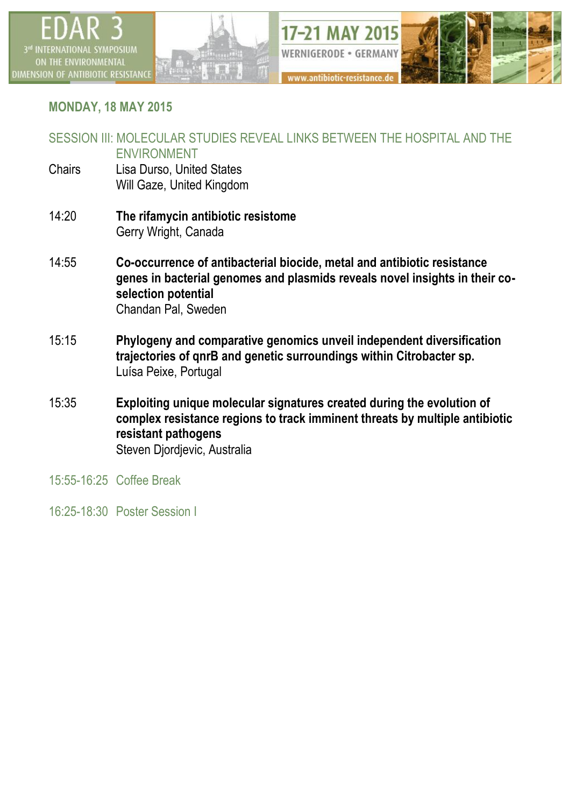



# **MONDAY, 18 MAY 2015**

#### SESSION III: MOLECULAR STUDIES REVEAL LINKS BETWEEN THE HOSPITAL AND THE ENVIRONMENT

- Chairs Lisa Durso, United States Will Gaze, United Kingdom
- 14:20 **The rifamycin antibiotic resistome** Gerry Wright, Canada
- 14:55 **Co-occurrence of antibacterial biocide, metal and antibiotic resistance genes in bacterial genomes and plasmids reveals novel insights in their coselection potential** Chandan Pal, Sweden
- 15:15 **Phylogeny and comparative genomics unveil independent diversification trajectories of qnrB and genetic surroundings within Citrobacter sp.** Luísa Peixe, Portugal
- 15:35 **Exploiting unique molecular signatures created during the evolution of complex resistance regions to track imminent threats by multiple antibiotic resistant pathogens** Steven Djordjevic, Australia
- 15:55-16:25 Coffee Break
- 16:25-18:30 Poster Session I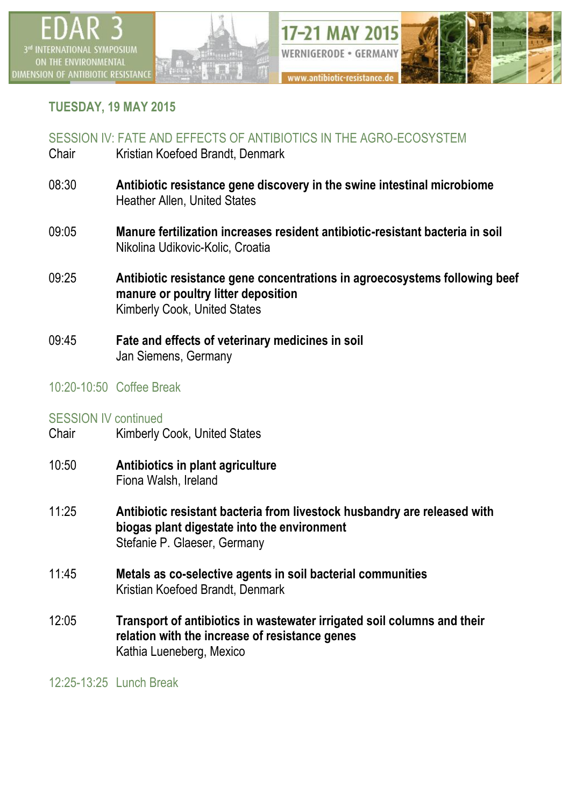

### **TUESDAY, 19 MAY 2015**

### SESSION IV: FATE AND EFFECTS OF ANTIBIOTICS IN THE AGRO-ECOSYSTEM

- Chair Kristian Koefoed Brandt, Denmark
- 08:30 **Antibiotic resistance gene discovery in the swine intestinal microbiome** Heather Allen, United States
- 09:05 **Manure fertilization increases resident antibiotic-resistant bacteria in soil** Nikolina Udikovic-Kolic, Croatia
- 09:25 **Antibiotic resistance gene concentrations in agroecosystems following beef manure or poultry litter deposition** Kimberly Cook, United States
- 09:45 **Fate and effects of veterinary medicines in soil** Jan Siemens, Germany

### 10:20-10:50 Coffee Break

# SESSION IV continued<br>Chair Kimberly (

- Kimberly Cook, United States
- 10:50 **Antibiotics in plant agriculture** Fiona Walsh, Ireland
- 11:25 **Antibiotic resistant bacteria from livestock husbandry are released with biogas plant digestate into the environment** Stefanie P. Glaeser, Germany
- 11:45 **Metals as co-selective agents in soil bacterial communities** Kristian Koefoed Brandt, Denmark
- 12:05 **Transport of antibiotics in wastewater irrigated soil columns and their relation with the increase of resistance genes** Kathia Lueneberg, Mexico

12:25-13:25 Lunch Break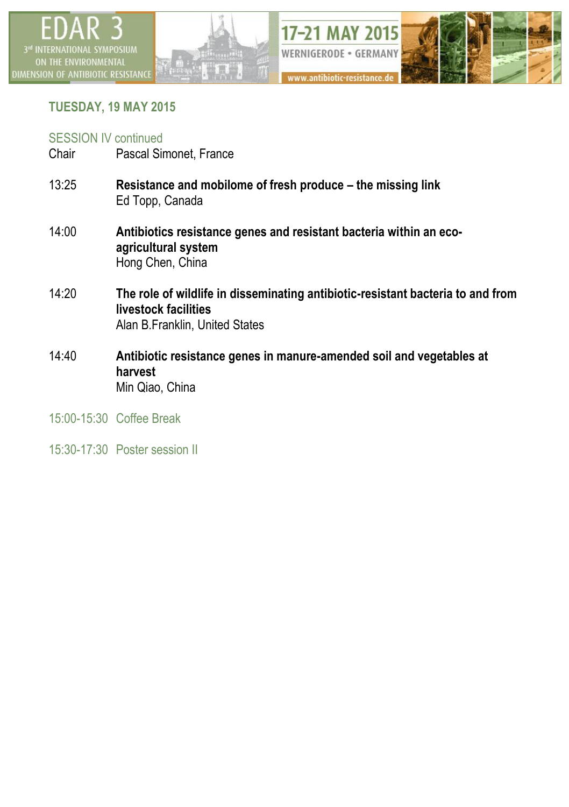



# **TUESDAY, 19 MAY 2015**

### SESSION IV continued

- Chair Pascal Simonet, France
- 13:25 **Resistance and mobilome of fresh produce – the missing link** Ed Topp, Canada
- 14:00 **Antibiotics resistance genes and resistant bacteria within an ecoagricultural system** Hong Chen, China
- 14:20 **The role of wildlife in disseminating antibiotic-resistant bacteria to and from livestock facilities** Alan B.Franklin, United States
- 14:40 **Antibiotic resistance genes in manure-amended soil and vegetables at harvest** Min Qiao, China
- 15:00-15:30 Coffee Break
- 15:30-17:30 Poster session II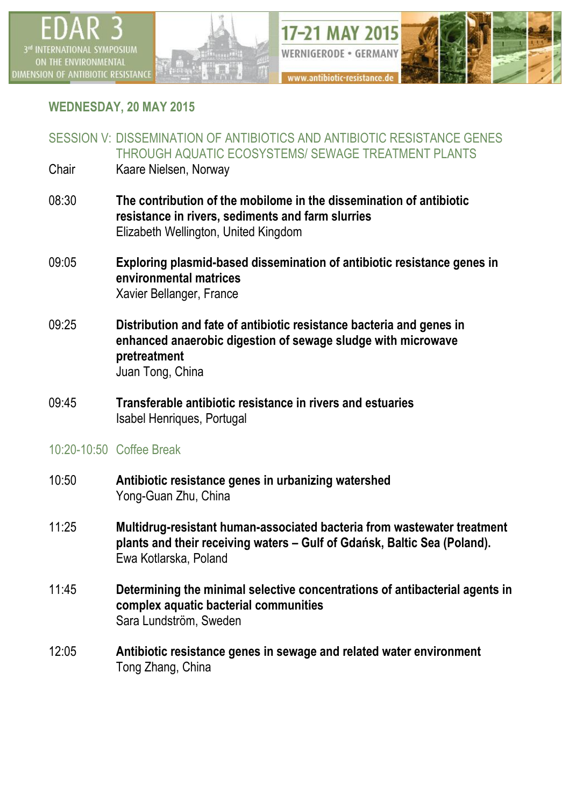



# **WEDNESDAY, 20 MAY 2015**

SESSION V: DISSEMINATION OF ANTIBIOTICS AND ANTIBIOTIC RESISTANCE GENES THROUGH AQUATIC ECOSYSTEMS/ SEWAGE TREATMENT PLANTS

- Chair Kaare Nielsen, Norway
- 08:30 **The contribution of the mobilome in the dissemination of antibiotic resistance in rivers, sediments and farm slurries** Elizabeth Wellington, United Kingdom
- 09:05 **Exploring plasmid-based dissemination of antibiotic resistance genes in environmental matrices** Xavier Bellanger, France
- 09:25 **Distribution and fate of antibiotic resistance bacteria and genes in enhanced anaerobic digestion of sewage sludge with microwave pretreatment** Juan Tong, China
- 09:45 **Transferable antibiotic resistance in rivers and estuaries** Isabel Henriques, Portugal
- 10:20-10:50 Coffee Break
- 10:50 **Antibiotic resistance genes in urbanizing watershed** Yong-Guan Zhu, China
- 11:25 **Multidrug-resistant human-associated bacteria from wastewater treatment plants and their receiving waters – Gulf of Gdańsk, Baltic Sea (Poland).** Ewa Kotlarska, Poland
- 11:45 **Determining the minimal selective concentrations of antibacterial agents in complex aquatic bacterial communities** Sara Lundström, Sweden
- 12:05 **Antibiotic resistance genes in sewage and related water environment** Tong Zhang, China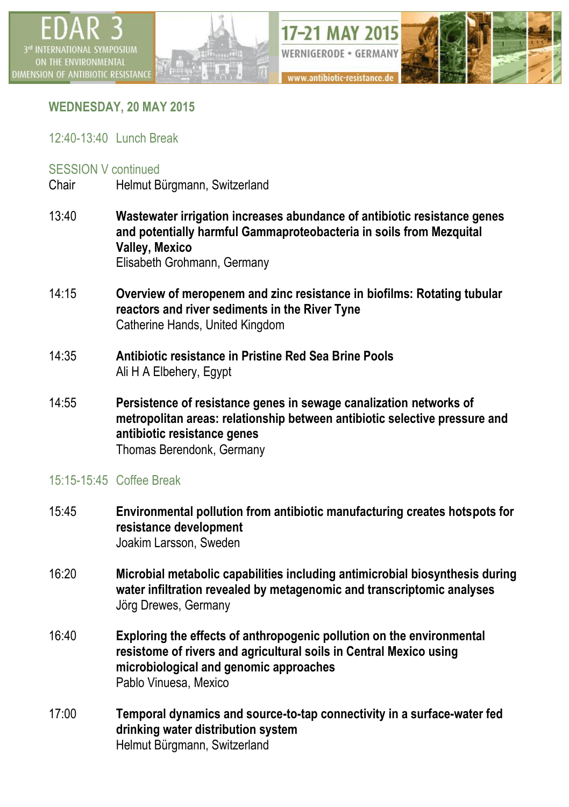



# **WEDNESDAY, 20 MAY 2015**

### 12:40-13:40 Lunch Break

### SESSION V continued

Chair Helmut Bürgmann, Switzerland

- 13:40 **Wastewater irrigation increases abundance of antibiotic resistance genes and potentially harmful Gammaproteobacteria in soils from Mezquital Valley, Mexico** Elisabeth Grohmann, Germany
- 14:15 **Overview of meropenem and zinc resistance in biofilms: Rotating tubular reactors and river sediments in the River Tyne** Catherine Hands, United Kingdom
- 14:35 **Antibiotic resistance in Pristine Red Sea Brine Pools** Ali H A Elbehery, Egypt
- 14:55 **Persistence of resistance genes in sewage canalization networks of metropolitan areas: relationship between antibiotic selective pressure and antibiotic resistance genes** Thomas Berendonk, Germany

### 15:15-15:45 Coffee Break

- 15:45 **Environmental pollution from antibiotic manufacturing creates hotspots for resistance development** Joakim Larsson, Sweden
- 16:20 **Microbial metabolic capabilities including antimicrobial biosynthesis during water infiltration revealed by metagenomic and transcriptomic analyses** Jörg Drewes, Germany
- 16:40 **Exploring the effects of anthropogenic pollution on the environmental resistome of rivers and agricultural soils in Central Mexico using microbiological and genomic approaches** Pablo Vinuesa, Mexico
- 17:00 **Temporal dynamics and source-to-tap connectivity in a surface-water fed drinking water distribution system** Helmut Bürgmann, Switzerland